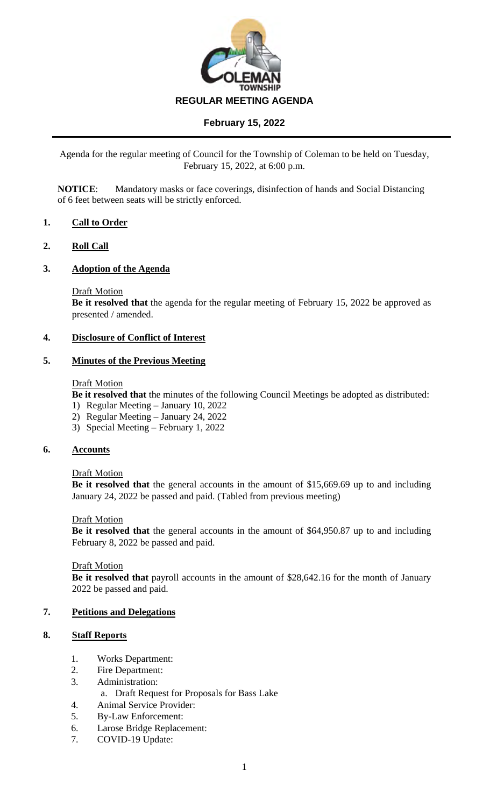

Agenda for the regular meeting of Council for the Township of Coleman to be held on Tuesday, February 15, 2022, at 6:00 p.m.

**NOTICE**: Mandatory masks or face coverings, disinfection of hands and Social Distancing of 6 feet between seats will be strictly enforced.

# **1. Call to Order**

### **2. Roll Call**

### **3. Adoption of the Agenda**

#### Draft Motion

**Be it resolved that** the agenda for the regular meeting of February 15, 2022 be approved as presented / amended.

### **4. Disclosure of Conflict of Interest**

#### **5. Minutes of the Previous Meeting**

#### **Draft Motion**

**Be it resolved that** the minutes of the following Council Meetings be adopted as distributed:

- 1) Regular Meeting January 10, 2022
- 2) Regular Meeting January 24, 2022
- 3) Special Meeting February 1, 2022

#### **6. Accounts**

#### Draft Motion

**Be it resolved that** the general accounts in the amount of \$15,669.69 up to and including January 24, 2022 be passed and paid. (Tabled from previous meeting)

### Draft Motion

**Be it resolved that** the general accounts in the amount of \$64,950.87 up to and including February 8, 2022 be passed and paid.

#### Draft Motion

**Be it resolved that** payroll accounts in the amount of \$28,642.16 for the month of January 2022 be passed and paid.

# **7. Petitions and Delegations**

### **8. Staff Reports**

- 1. Works Department:
- 2. Fire Department:
- 3. Administration:
	- a. Draft Request for Proposals for Bass Lake
- 4. Animal Service Provider:
- 5. By-Law Enforcement:
- 6. Larose Bridge Replacement:
- 7. COVID-19 Update: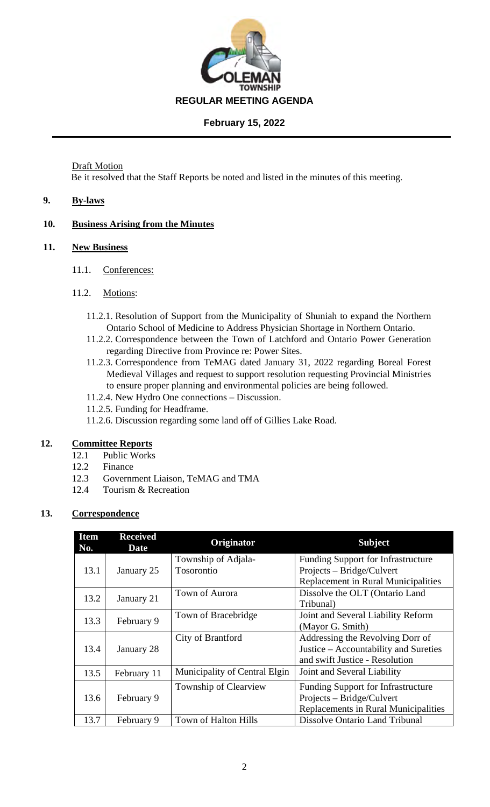

Draft Motion Be it resolved that the Staff Reports be noted and listed in the minutes of this meeting.

# **9. By-laws**

# **10. Business Arising from the Minutes**

### **11. New Business**

- 11.1. Conferences:
- 11.2. Motions:
	- 11.2.1. Resolution of Support from the Municipality of Shuniah to expand the Northern Ontario School of Medicine to Address Physician Shortage in Northern Ontario.
	- 11.2.2. Correspondence between the Town of Latchford and Ontario Power Generation regarding Directive from Province re: Power Sites.
	- 11.2.3. Correspondence from TeMAG dated January 31, 2022 regarding Boreal Forest Medieval Villages and request to support resolution requesting Provincial Ministries to ensure proper planning and environmental policies are being followed.
	- 11.2.4. New Hydro One connections Discussion.
	- 11.2.5. Funding for Headframe.
	- 11.2.6. Discussion regarding some land off of Gillies Lake Road.

# **12. Committee Reports**

- 12.1 Public Works
- 12.2 Finance
- 12.3 Government Liaison, TeMAG and TMA
- 12.4 Tourism & Recreation

# **13. Correspondence**

| <b>Item</b><br>No. | <b>Received</b><br><b>Date</b> | Originator                        | <b>Subject</b>                                                                                                 |
|--------------------|--------------------------------|-----------------------------------|----------------------------------------------------------------------------------------------------------------|
| 13.1               | January 25                     | Township of Adjala-<br>Tosorontio | <b>Funding Support for Infrastructure</b><br>Projects – Bridge/Culvert<br>Replacement in Rural Municipalities  |
| 13.2               | January 21                     | Town of Aurora                    | Dissolve the OLT (Ontario Land<br>Tribunal)                                                                    |
| 13.3               | February 9                     | Town of Bracebridge               | Joint and Several Liability Reform<br>(Mayor G. Smith)                                                         |
| 13.4               | January 28                     | City of Brantford                 | Addressing the Revolving Dorr of<br>Justice – Accountability and Sureties<br>and swift Justice - Resolution    |
| 13.5               | February 11                    | Municipality of Central Elgin     | Joint and Several Liability                                                                                    |
| 13.6               | February 9                     | Township of Clearview             | <b>Funding Support for Infrastructure</b><br>Projects – Bridge/Culvert<br>Replacements in Rural Municipalities |
| 13.7               | February 9                     | Town of Halton Hills              | Dissolve Ontario Land Tribunal                                                                                 |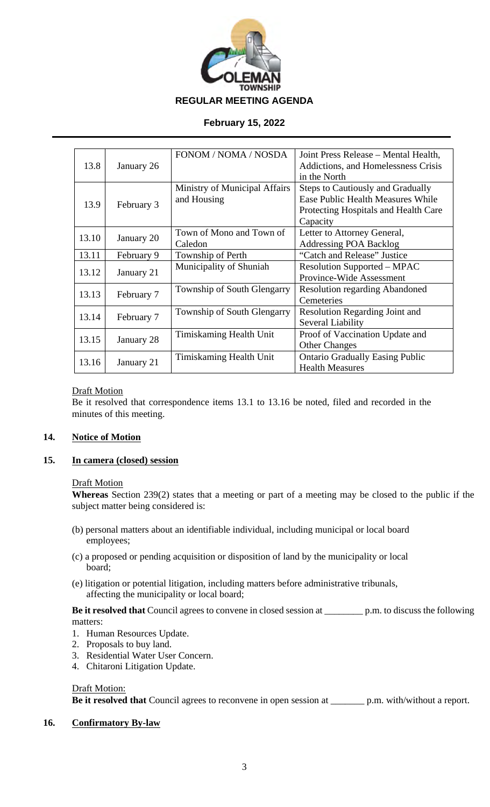

|       |            | FONOM / NOMA / NOSDA          | Joint Press Release – Mental Health,     |
|-------|------------|-------------------------------|------------------------------------------|
| 13.8  | January 26 |                               | Addictions, and Homelessness Crisis      |
|       |            |                               | in the North                             |
|       |            | Ministry of Municipal Affairs | <b>Steps to Cautiously and Gradually</b> |
| 13.9  |            | and Housing                   | <b>Ease Public Health Measures While</b> |
|       | February 3 |                               | Protecting Hospitals and Health Care     |
|       |            |                               | Capacity                                 |
| 13.10 |            | Town of Mono and Town of      | Letter to Attorney General,              |
|       | January 20 | Caledon                       | <b>Addressing POA Backlog</b>            |
| 13.11 | February 9 | Township of Perth             | "Catch and Release" Justice              |
|       |            | Municipality of Shuniah       | <b>Resolution Supported – MPAC</b>       |
| 13.12 | January 21 |                               | Province-Wide Assessment                 |
|       |            | Township of South Glengarry   | <b>Resolution regarding Abandoned</b>    |
| 13.13 | February 7 |                               | Cemeteries                               |
|       |            | Township of South Glengarry   | <b>Resolution Regarding Joint and</b>    |
| 13.14 | February 7 | Several Liability             |                                          |
| 13.15 |            | Timiskaming Health Unit       | Proof of Vaccination Update and          |
|       | January 28 |                               | <b>Other Changes</b>                     |
| 13.16 |            | Timiskaming Health Unit       | <b>Ontario Gradually Easing Public</b>   |
|       | January 21 |                               | <b>Health Measures</b>                   |

### Draft Motion

Be it resolved that correspondence items 13.1 to 13.16 be noted, filed and recorded in the minutes of this meeting.

### **14. Notice of Motion**

### **15. In camera (closed) session**

#### **Draft Motion**

**Whereas** Section 239(2) states that a meeting or part of a meeting may be closed to the public if the subject matter being considered is:

- (b) personal matters about an identifiable individual, including municipal or local board employees;
- (c) a proposed or pending acquisition or disposition of land by the municipality or local board;
- (e) litigation or potential litigation, including matters before administrative tribunals, affecting the municipality or local board;

**Be it resolved that** Council agrees to convene in closed session at \_\_\_\_\_\_\_\_ p.m. to discuss the following matters:

- 1. Human Resources Update.
- 2. Proposals to buy land.
- 3. Residential Water User Concern.
- 4. Chitaroni Litigation Update.

#### Draft Motion:

**Be it resolved that** Council agrees to reconvene in open session at \_\_\_\_\_\_\_ p.m. with/without a report.

#### **16. Confirmatory By-law**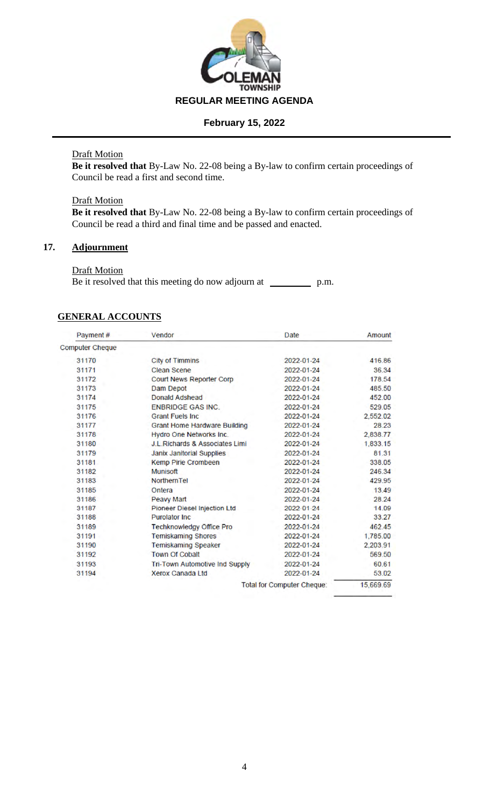

### Draft Motion

**Be it resolved that** By-Law No. 22-08 being a By-law to confirm certain proceedings of Council be read a first and second time.

### **Draft Motion**

**Be it resolved that** By-Law No. 22-08 being a By-law to confirm certain proceedings of Council be read a third and final time and be passed and enacted.

# **17. Adjournment**

### Draft Motion

Be it resolved that this meeting do now adjourn at \_\_\_\_\_\_\_\_\_\_\_\_\_ p.m.

# **GENERAL ACCOUNTS**

| Payment#               | Vendor                                     | Date                              | Amount    |
|------------------------|--------------------------------------------|-----------------------------------|-----------|
| <b>Computer Cheque</b> |                                            |                                   |           |
| 31170                  | <b>City of Timmins</b>                     | 2022-01-24                        | 416.86    |
| 31171                  | <b>Clean Scene</b>                         | 2022-01-24                        | 36.34     |
| 31172                  | <b>Court News Reporter Corp</b>            | 2022-01-24                        | 178.54    |
| 31173                  | <b>Dam Depot</b>                           | 2022-01-24                        | 485.50    |
| 31174                  | <b>Donald Adshead</b>                      | 2022-01-24                        | 452.00    |
| 31175                  | <b>ENBRIDGE GAS INC.</b>                   | 2022-01-24                        | 529.05    |
| 31176                  | <b>Grant Fuels Inc.</b>                    | 2022-01-24                        | 2,552.02  |
| 31177                  | <b>Grant Home Hardware Building</b>        | 2022-01-24                        | 28.23     |
| 31178                  | Hydro One Networks Inc.                    | 2022-01-24                        | 2,838.77  |
| 31180                  | <b>J.L. Richards &amp; Associates Limi</b> | 2022-01-24                        | 1,833.15  |
| 31179                  | <b>Janix Janitorial Supplies</b>           | 2022-01-24                        | 81.31     |
| 31181                  | <b>Kemp Pirie Crombeen</b>                 | 2022-01-24                        | 338.05    |
| 31182                  | <b>Munisoft</b>                            | 2022-01-24                        | 246.34    |
| 31183                  | <b>Northern Tel</b>                        | 2022-01-24                        | 429.95    |
| 31185                  | Ontera                                     | 2022-01-24                        | 13.49     |
| 31186                  | <b>Peavy Mart</b>                          | 2022-01-24                        | 28.24     |
| 31187                  | <b>Pioneer Diesel Injection Ltd</b>        | 2022-01-24                        | 14.09     |
| 31188                  | <b>Purolator Inc.</b>                      | 2022-01-24                        | 33.27     |
| 31189                  | <b>Techknowledgy Office Pro</b>            | 2022-01-24                        | 462.45    |
| 31191                  | <b>Temiskaming Shores</b>                  | 2022-01-24                        | 1,785.00  |
| 31190                  | <b>Temiskaming Speaker</b>                 | 2022-01-24                        | 2,203.91  |
| 31192                  | <b>Town Of Cobalt</b>                      | 2022-01-24                        | 569.50    |
| 31193                  | <b>Tri-Town Automotive Ind Supply</b>      | 2022-01-24                        | 60.61     |
| 31194                  | <b>Xerox Canada Ltd</b>                    | 2022-01-24                        | 53.02     |
|                        |                                            | <b>Total for Computer Cheque:</b> | 15,669.69 |